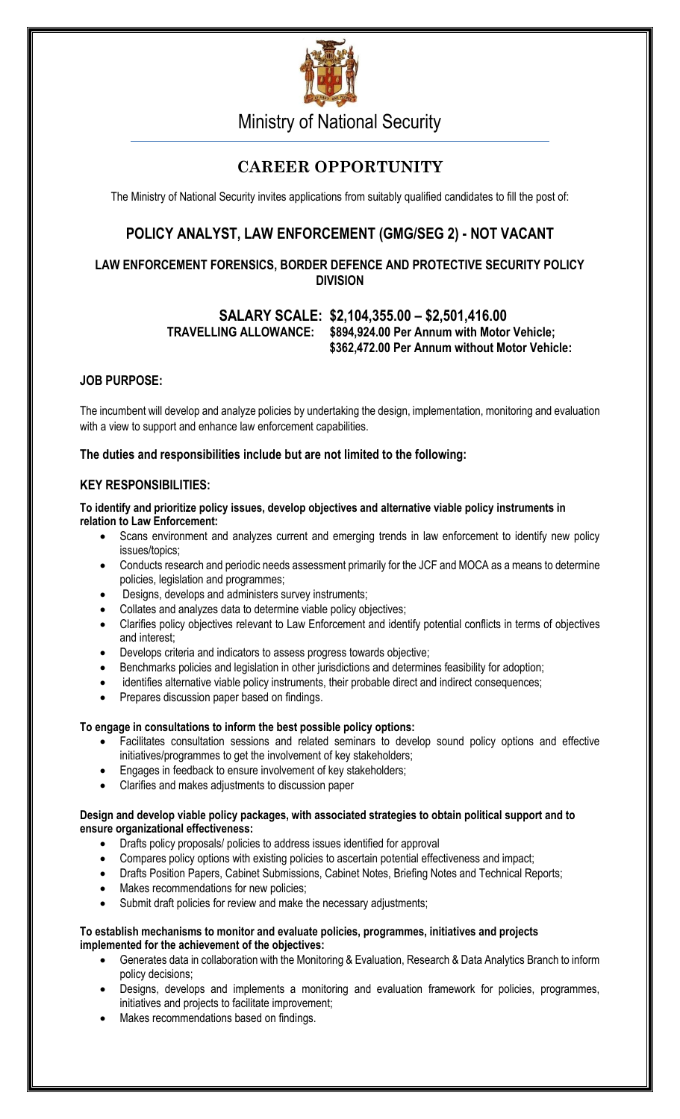

Ministry of National Security

# **CAREER OPPORTUNITY**

The Ministry of National Security invites applications from suitably qualified candidates to fill the post of:

# **POLICY ANALYST, LAW ENFORCEMENT (GMG/SEG 2) - NOT VACANT**

# **LAW ENFORCEMENT FORENSICS, BORDER DEFENCE AND PROTECTIVE SECURITY POLICY DIVISION**

# **SALARY SCALE: \$2,104,355.00 – \$2,501,416.00 TRAVELLING ALLOWANCE: \$894,924.00 Per Annum with Motor Vehicle; \$362,472.00 Per Annum without Motor Vehicle:**

# **JOB PURPOSE:**

The incumbent will develop and analyze policies by undertaking the design, implementation, monitoring and evaluation with a view to support and enhance law enforcement capabilities.

## **The duties and responsibilities include but are not limited to the following:**

## **KEY RESPONSIBILITIES:**

#### **To identify and prioritize policy issues, develop objectives and alternative viable policy instruments in relation to Law Enforcement:**

- Scans environment and analyzes current and emerging trends in law enforcement to identify new policy issues/topics;
- Conducts research and periodic needs assessment primarily for the JCF and MOCA as a means to determine policies, legislation and programmes;
- Designs, develops and administers survey instruments;
- Collates and analyzes data to determine viable policy objectives;
- Clarifies policy objectives relevant to Law Enforcement and identify potential conflicts in terms of objectives and interest;
- Develops criteria and indicators to assess progress towards objective;
- Benchmarks policies and legislation in other jurisdictions and determines feasibility for adoption;
- identifies alternative viable policy instruments, their probable direct and indirect consequences;
- Prepares discussion paper based on findings.

## **To engage in consultations to inform the best possible policy options:**

- Facilitates consultation sessions and related seminars to develop sound policy options and effective initiatives/programmes to get the involvement of key stakeholders;
- Engages in feedback to ensure involvement of key stakeholders;
- Clarifies and makes adjustments to discussion paper

#### **Design and develop viable policy packages, with associated strategies to obtain political support and to ensure organizational effectiveness:**

- Drafts policy proposals/ policies to address issues identified for approval
- Compares policy options with existing policies to ascertain potential effectiveness and impact;
- Drafts Position Papers, Cabinet Submissions, Cabinet Notes, Briefing Notes and Technical Reports;
- Makes recommendations for new policies;
- Submit draft policies for review and make the necessary adjustments;

#### **To establish mechanisms to monitor and evaluate policies, programmes, initiatives and projects implemented for the achievement of the objectives:**

- Generates data in collaboration with the Monitoring & Evaluation, Research & Data Analytics Branch to inform policy decisions;
- Designs, develops and implements a monitoring and evaluation framework for policies, programmes, initiatives and projects to facilitate improvement;
- Makes recommendations based on findings.